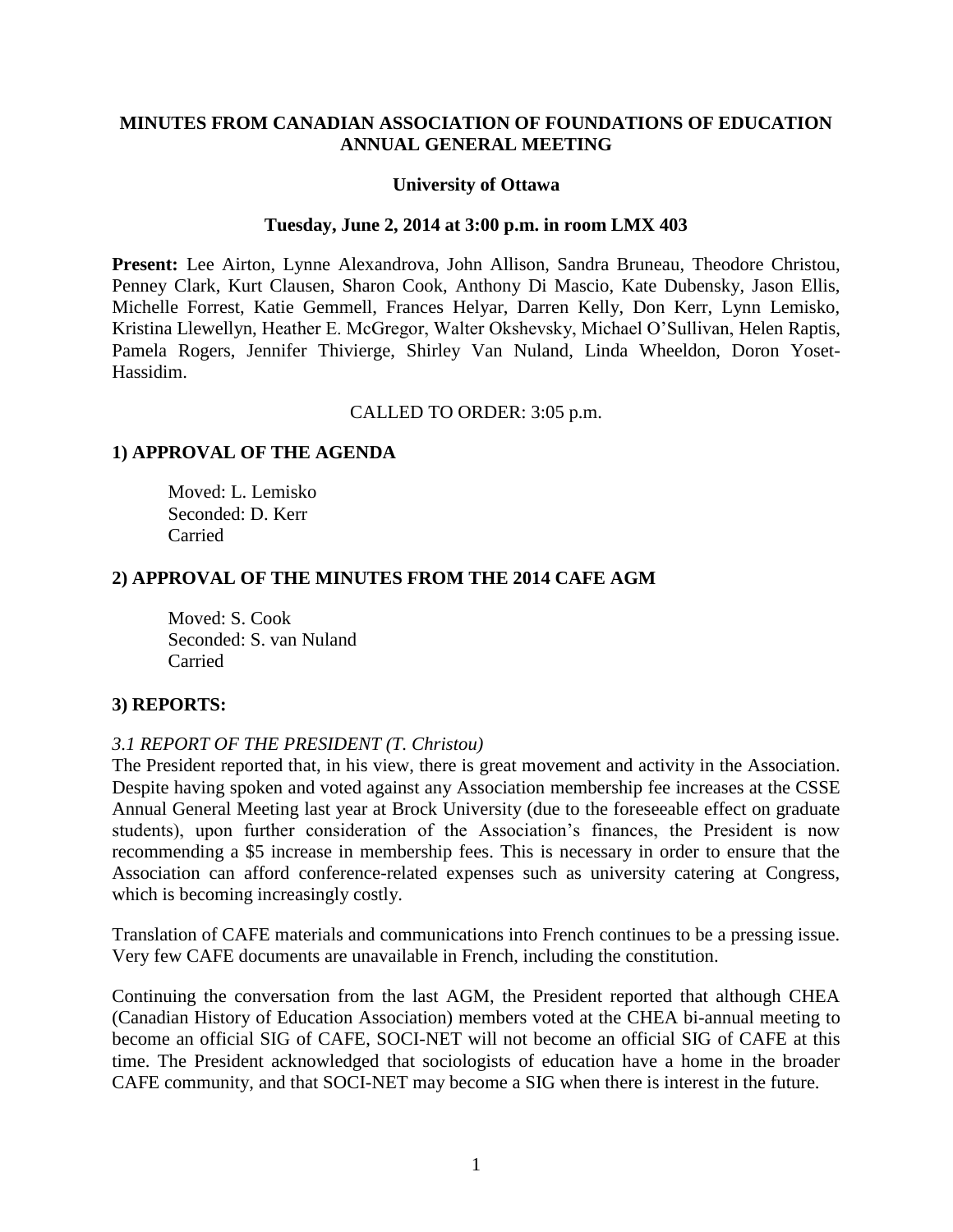## **MINUTES FROM CANADIAN ASSOCIATION OF FOUNDATIONS OF EDUCATION ANNUAL GENERAL MEETING**

## **University of Ottawa**

#### **Tuesday, June 2, 2014 at 3:00 p.m. in room LMX 403**

**Present:** Lee Airton, Lynne Alexandrova, John Allison, Sandra Bruneau, Theodore Christou, Penney Clark, Kurt Clausen, Sharon Cook, Anthony Di Mascio, Kate Dubensky, Jason Ellis, Michelle Forrest, Katie Gemmell, Frances Helyar, Darren Kelly, Don Kerr, Lynn Lemisko, Kristina Llewellyn, Heather E. McGregor, Walter Okshevsky, Michael O'Sullivan, Helen Raptis, Pamela Rogers, Jennifer Thivierge, Shirley Van Nuland, Linda Wheeldon, Doron Yoset-Hassidim.

CALLED TO ORDER: 3:05 p.m.

## **1) APPROVAL OF THE AGENDA**

Moved: L. Lemisko Seconded: D. Kerr Carried

## **2) APPROVAL OF THE MINUTES FROM THE 2014 CAFE AGM**

Moved: S. Cook Seconded: S. van Nuland Carried

## **3) REPORTS:**

## *3.1 REPORT OF THE PRESIDENT (T. Christou)*

The President reported that, in his view, there is great movement and activity in the Association. Despite having spoken and voted against any Association membership fee increases at the CSSE Annual General Meeting last year at Brock University (due to the foreseeable effect on graduate students), upon further consideration of the Association's finances, the President is now recommending a \$5 increase in membership fees. This is necessary in order to ensure that the Association can afford conference-related expenses such as university catering at Congress, which is becoming increasingly costly.

Translation of CAFE materials and communications into French continues to be a pressing issue. Very few CAFE documents are unavailable in French, including the constitution.

Continuing the conversation from the last AGM, the President reported that although CHEA (Canadian History of Education Association) members voted at the CHEA bi-annual meeting to become an official SIG of CAFE, SOCI-NET will not become an official SIG of CAFE at this time. The President acknowledged that sociologists of education have a home in the broader CAFE community, and that SOCI-NET may become a SIG when there is interest in the future.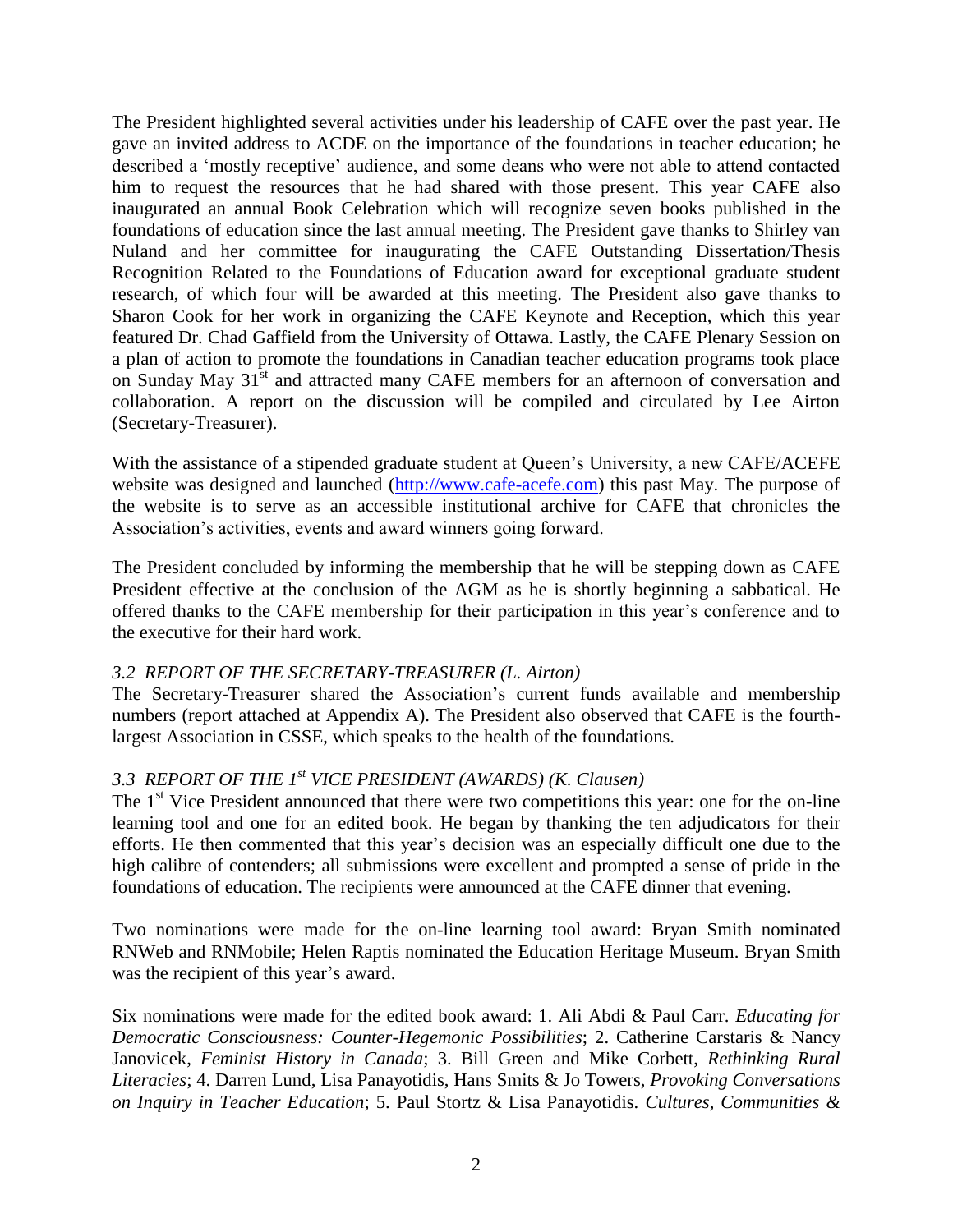The President highlighted several activities under his leadership of CAFE over the past year. He gave an invited address to ACDE on the importance of the foundations in teacher education; he described a 'mostly receptive' audience, and some deans who were not able to attend contacted him to request the resources that he had shared with those present. This year CAFE also inaugurated an annual Book Celebration which will recognize seven books published in the foundations of education since the last annual meeting. The President gave thanks to Shirley van Nuland and her committee for inaugurating the CAFE Outstanding Dissertation/Thesis Recognition Related to the Foundations of Education award for exceptional graduate student research, of which four will be awarded at this meeting. The President also gave thanks to Sharon Cook for her work in organizing the CAFE Keynote and Reception, which this year featured Dr. Chad Gaffield from the University of Ottawa. Lastly, the CAFE Plenary Session on a plan of action to promote the foundations in Canadian teacher education programs took place on Sunday May 31<sup>st</sup> and attracted many CAFE members for an afternoon of conversation and collaboration. A report on the discussion will be compiled and circulated by Lee Airton (Secretary-Treasurer).

With the assistance of a stipended graduate student at Queen's University, a new CAFE/ACEFE website was designed and launched [\(http://www.cafe-acefe.com\)](http://www.cafe-acefe.com/) this past May. The purpose of the website is to serve as an accessible institutional archive for CAFE that chronicles the Association's activities, events and award winners going forward.

The President concluded by informing the membership that he will be stepping down as CAFE President effective at the conclusion of the AGM as he is shortly beginning a sabbatical. He offered thanks to the CAFE membership for their participation in this year's conference and to the executive for their hard work.

## *3.2 REPORT OF THE SECRETARY-TREASURER (L. Airton)*

The Secretary-Treasurer shared the Association's current funds available and membership numbers (report attached at Appendix A). The President also observed that CAFE is the fourthlargest Association in CSSE, which speaks to the health of the foundations.

# *3.3 REPORT OF THE 1 st VICE PRESIDENT (AWARDS) (K. Clausen)*

The 1<sup>st</sup> Vice President announced that there were two competitions this year: one for the on-line learning tool and one for an edited book. He began by thanking the ten adjudicators for their efforts. He then commented that this year's decision was an especially difficult one due to the high calibre of contenders; all submissions were excellent and prompted a sense of pride in the foundations of education. The recipients were announced at the CAFE dinner that evening.

Two nominations were made for the on-line learning tool award: Bryan Smith nominated RNWeb and RNMobile; Helen Raptis nominated the Education Heritage Museum. Bryan Smith was the recipient of this year's award.

Six nominations were made for the edited book award: 1. Ali Abdi & Paul Carr. *Educating for Democratic Consciousness: Counter-Hegemonic Possibilities*; 2. Catherine Carstaris & Nancy Janovicek, *Feminist History in Canada*; 3. Bill Green and Mike Corbett, *Rethinking Rural Literacies*; 4. Darren Lund, Lisa Panayotidis, Hans Smits & Jo Towers, *Provoking Conversations on Inquiry in Teacher Education*; 5. Paul Stortz & Lisa Panayotidis. *Cultures, Communities &*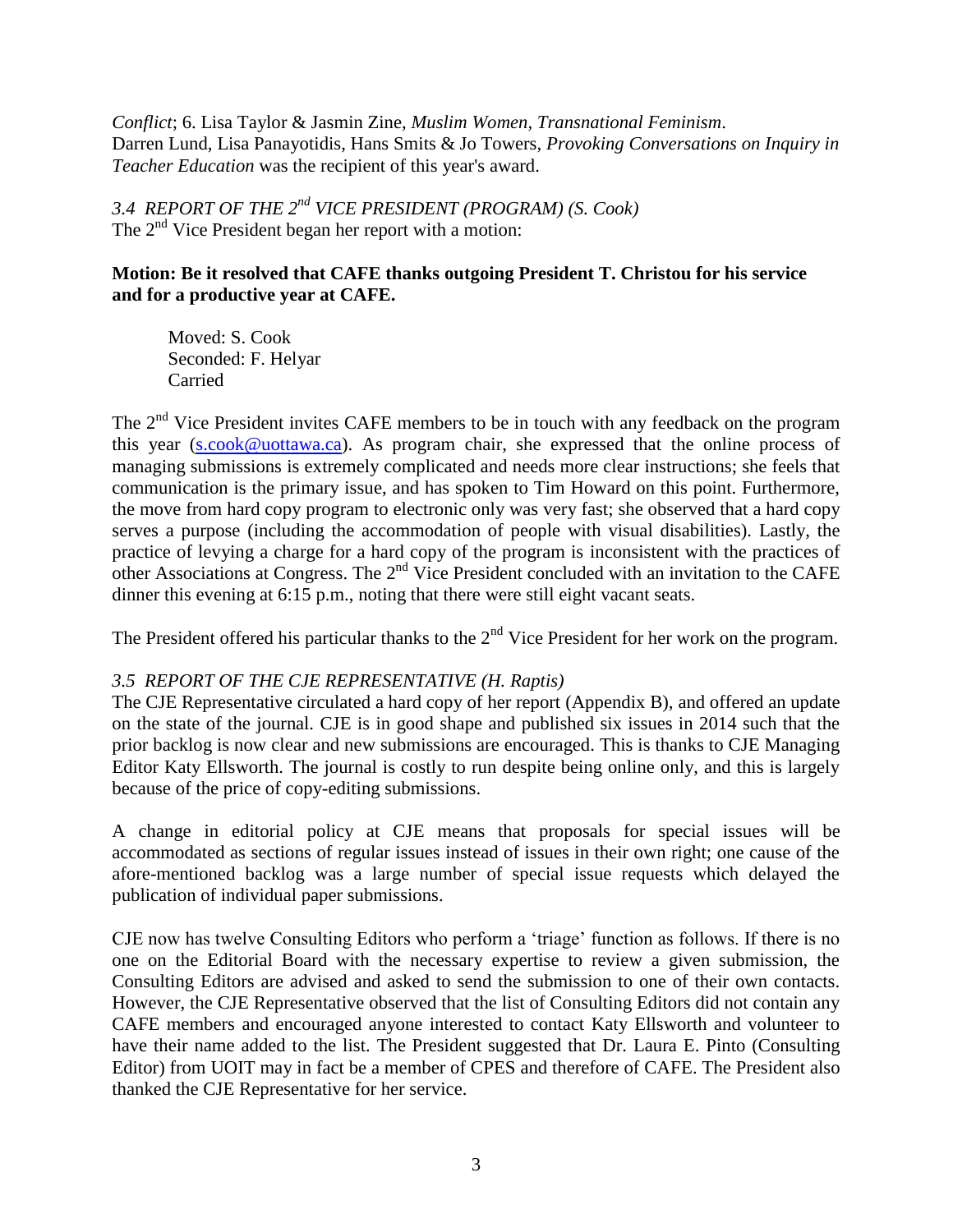*Conflict*; 6. Lisa Taylor & Jasmin Zine, *Muslim Women, Transnational Feminism*. Darren Lund, Lisa Panayotidis, Hans Smits & Jo Towers, *Provoking Conversations on Inquiry in Teacher Education* was the recipient of this year's award.

*3.4 REPORT OF THE 2 nd VICE PRESIDENT (PROGRAM) (S. Cook)* The 2<sup>nd</sup> Vice President began her report with a motion:

# **Motion: Be it resolved that CAFE thanks outgoing President T. Christou for his service and for a productive year at CAFE.**

Moved: S. Cook Seconded: F. Helyar Carried

The  $2<sup>nd</sup>$  Vice President invites CAFE members to be in touch with any feedback on the program this year [\(s.cook@uottawa.ca\)](mailto:s.cook@uottawa.ca). As program chair, she expressed that the online process of managing submissions is extremely complicated and needs more clear instructions; she feels that communication is the primary issue, and has spoken to Tim Howard on this point. Furthermore, the move from hard copy program to electronic only was very fast; she observed that a hard copy serves a purpose (including the accommodation of people with visual disabilities). Lastly, the practice of levying a charge for a hard copy of the program is inconsistent with the practices of other Associations at Congress. The 2<sup>nd</sup> Vice President concluded with an invitation to the CAFE dinner this evening at 6:15 p.m., noting that there were still eight vacant seats.

The President offered his particular thanks to the  $2<sup>nd</sup>$  Vice President for her work on the program.

# *3.5 REPORT OF THE CJE REPRESENTATIVE (H. Raptis)*

The CJE Representative circulated a hard copy of her report (Appendix B), and offered an update on the state of the journal. CJE is in good shape and published six issues in 2014 such that the prior backlog is now clear and new submissions are encouraged. This is thanks to CJE Managing Editor Katy Ellsworth. The journal is costly to run despite being online only, and this is largely because of the price of copy-editing submissions.

A change in editorial policy at CJE means that proposals for special issues will be accommodated as sections of regular issues instead of issues in their own right; one cause of the afore-mentioned backlog was a large number of special issue requests which delayed the publication of individual paper submissions.

CJE now has twelve Consulting Editors who perform a 'triage' function as follows. If there is no one on the Editorial Board with the necessary expertise to review a given submission, the Consulting Editors are advised and asked to send the submission to one of their own contacts. However, the CJE Representative observed that the list of Consulting Editors did not contain any CAFE members and encouraged anyone interested to contact Katy Ellsworth and volunteer to have their name added to the list. The President suggested that Dr. Laura E. Pinto (Consulting Editor) from UOIT may in fact be a member of CPES and therefore of CAFE. The President also thanked the CJE Representative for her service.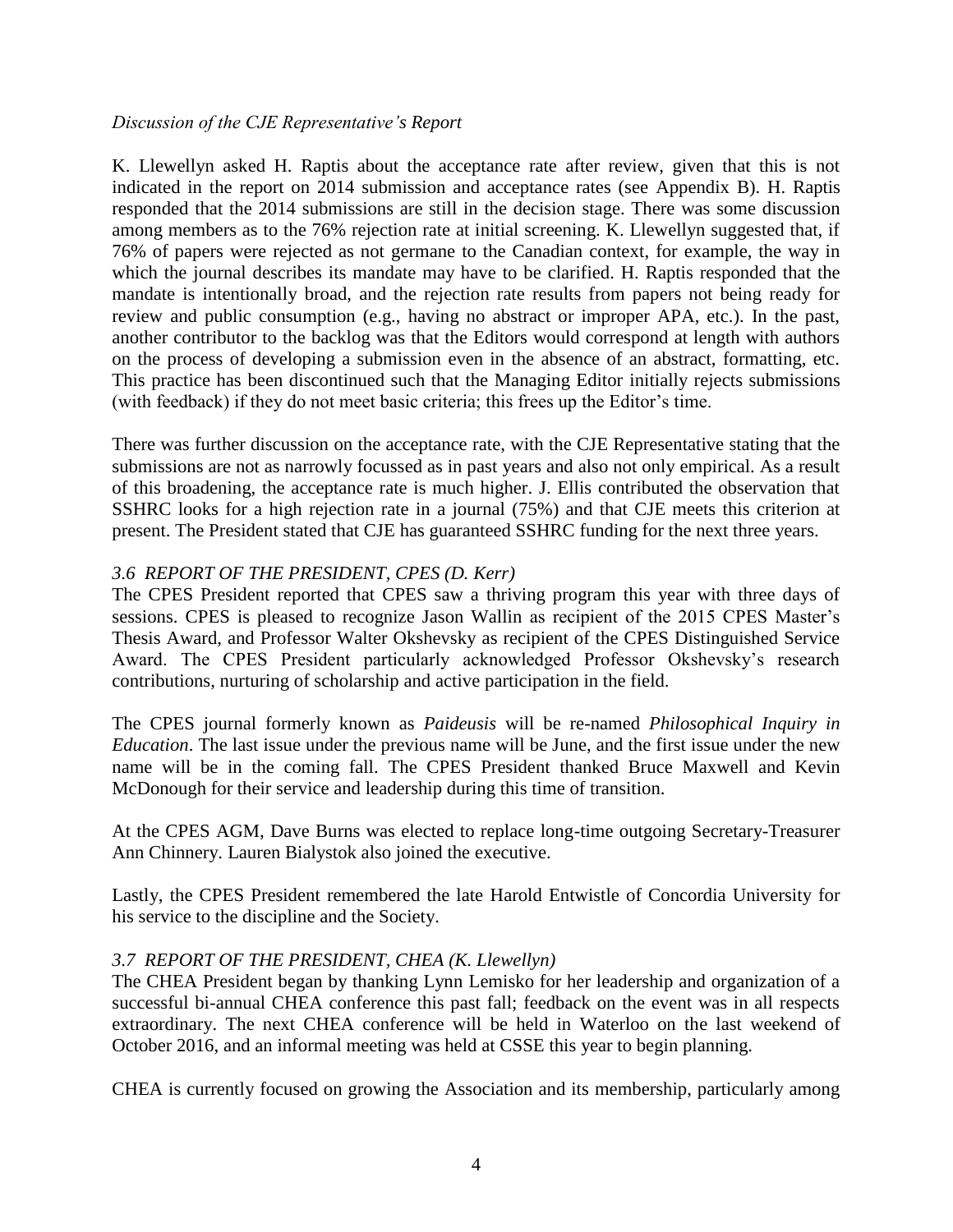## *Discussion of the CJE Representative's Report*

K. Llewellyn asked H. Raptis about the acceptance rate after review, given that this is not indicated in the report on 2014 submission and acceptance rates (see Appendix B). H. Raptis responded that the 2014 submissions are still in the decision stage. There was some discussion among members as to the 76% rejection rate at initial screening. K. Llewellyn suggested that, if 76% of papers were rejected as not germane to the Canadian context, for example, the way in which the journal describes its mandate may have to be clarified. H. Raptis responded that the mandate is intentionally broad, and the rejection rate results from papers not being ready for review and public consumption (e.g., having no abstract or improper APA, etc.). In the past, another contributor to the backlog was that the Editors would correspond at length with authors on the process of developing a submission even in the absence of an abstract, formatting, etc. This practice has been discontinued such that the Managing Editor initially rejects submissions (with feedback) if they do not meet basic criteria; this frees up the Editor's time.

There was further discussion on the acceptance rate, with the CJE Representative stating that the submissions are not as narrowly focussed as in past years and also not only empirical. As a result of this broadening, the acceptance rate is much higher. J. Ellis contributed the observation that SSHRC looks for a high rejection rate in a journal (75%) and that CJE meets this criterion at present. The President stated that CJE has guaranteed SSHRC funding for the next three years.

## *3.6 REPORT OF THE PRESIDENT, CPES (D. Kerr)*

The CPES President reported that CPES saw a thriving program this year with three days of sessions. CPES is pleased to recognize Jason Wallin as recipient of the 2015 CPES Master's Thesis Award, and Professor Walter Okshevsky as recipient of the CPES Distinguished Service Award. The CPES President particularly acknowledged Professor Okshevsky's research contributions, nurturing of scholarship and active participation in the field.

The CPES journal formerly known as *Paideusis* will be re-named *Philosophical Inquiry in Education*. The last issue under the previous name will be June, and the first issue under the new name will be in the coming fall. The CPES President thanked Bruce Maxwell and Kevin McDonough for their service and leadership during this time of transition.

At the CPES AGM, Dave Burns was elected to replace long-time outgoing Secretary-Treasurer Ann Chinnery. Lauren Bialystok also joined the executive.

Lastly, the CPES President remembered the late Harold Entwistle of Concordia University for his service to the discipline and the Society.

## *3.7 REPORT OF THE PRESIDENT, CHEA (K. Llewellyn)*

The CHEA President began by thanking Lynn Lemisko for her leadership and organization of a successful bi-annual CHEA conference this past fall; feedback on the event was in all respects extraordinary. The next CHEA conference will be held in Waterloo on the last weekend of October 2016, and an informal meeting was held at CSSE this year to begin planning.

CHEA is currently focused on growing the Association and its membership, particularly among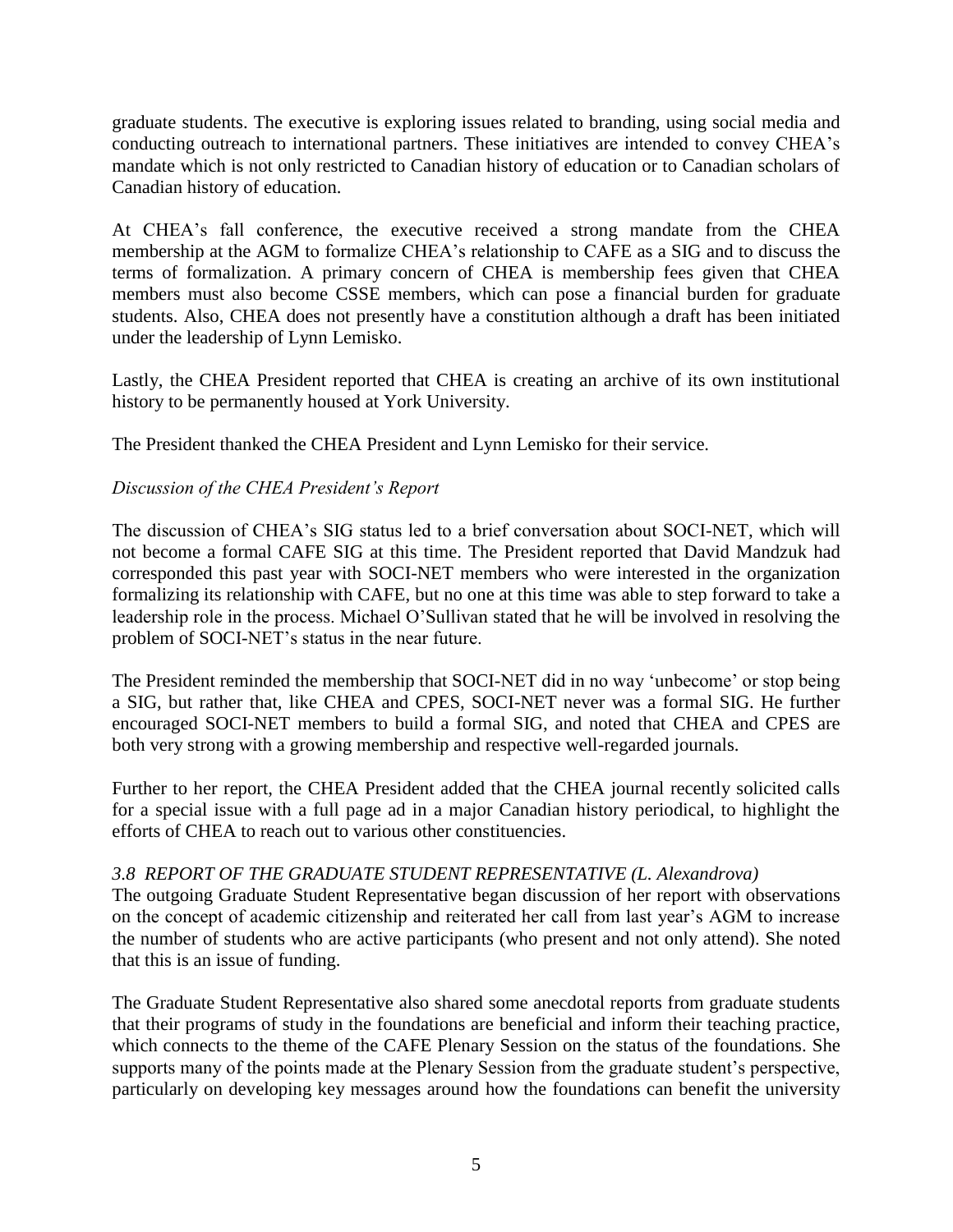graduate students. The executive is exploring issues related to branding, using social media and conducting outreach to international partners. These initiatives are intended to convey CHEA's mandate which is not only restricted to Canadian history of education or to Canadian scholars of Canadian history of education.

At CHEA's fall conference, the executive received a strong mandate from the CHEA membership at the AGM to formalize CHEA's relationship to CAFE as a SIG and to discuss the terms of formalization. A primary concern of CHEA is membership fees given that CHEA members must also become CSSE members, which can pose a financial burden for graduate students. Also, CHEA does not presently have a constitution although a draft has been initiated under the leadership of Lynn Lemisko.

Lastly, the CHEA President reported that CHEA is creating an archive of its own institutional history to be permanently housed at York University.

The President thanked the CHEA President and Lynn Lemisko for their service.

# *Discussion of the CHEA President's Report*

The discussion of CHEA's SIG status led to a brief conversation about SOCI-NET, which will not become a formal CAFE SIG at this time. The President reported that David Mandzuk had corresponded this past year with SOCI-NET members who were interested in the organization formalizing its relationship with CAFE, but no one at this time was able to step forward to take a leadership role in the process. Michael O'Sullivan stated that he will be involved in resolving the problem of SOCI-NET's status in the near future.

The President reminded the membership that SOCI-NET did in no way 'unbecome' or stop being a SIG, but rather that, like CHEA and CPES, SOCI-NET never was a formal SIG. He further encouraged SOCI-NET members to build a formal SIG, and noted that CHEA and CPES are both very strong with a growing membership and respective well-regarded journals.

Further to her report, the CHEA President added that the CHEA journal recently solicited calls for a special issue with a full page ad in a major Canadian history periodical, to highlight the efforts of CHEA to reach out to various other constituencies.

# *3.8 REPORT OF THE GRADUATE STUDENT REPRESENTATIVE (L. Alexandrova)*

The outgoing Graduate Student Representative began discussion of her report with observations on the concept of academic citizenship and reiterated her call from last year's AGM to increase the number of students who are active participants (who present and not only attend). She noted that this is an issue of funding.

The Graduate Student Representative also shared some anecdotal reports from graduate students that their programs of study in the foundations are beneficial and inform their teaching practice, which connects to the theme of the CAFE Plenary Session on the status of the foundations. She supports many of the points made at the Plenary Session from the graduate student's perspective, particularly on developing key messages around how the foundations can benefit the university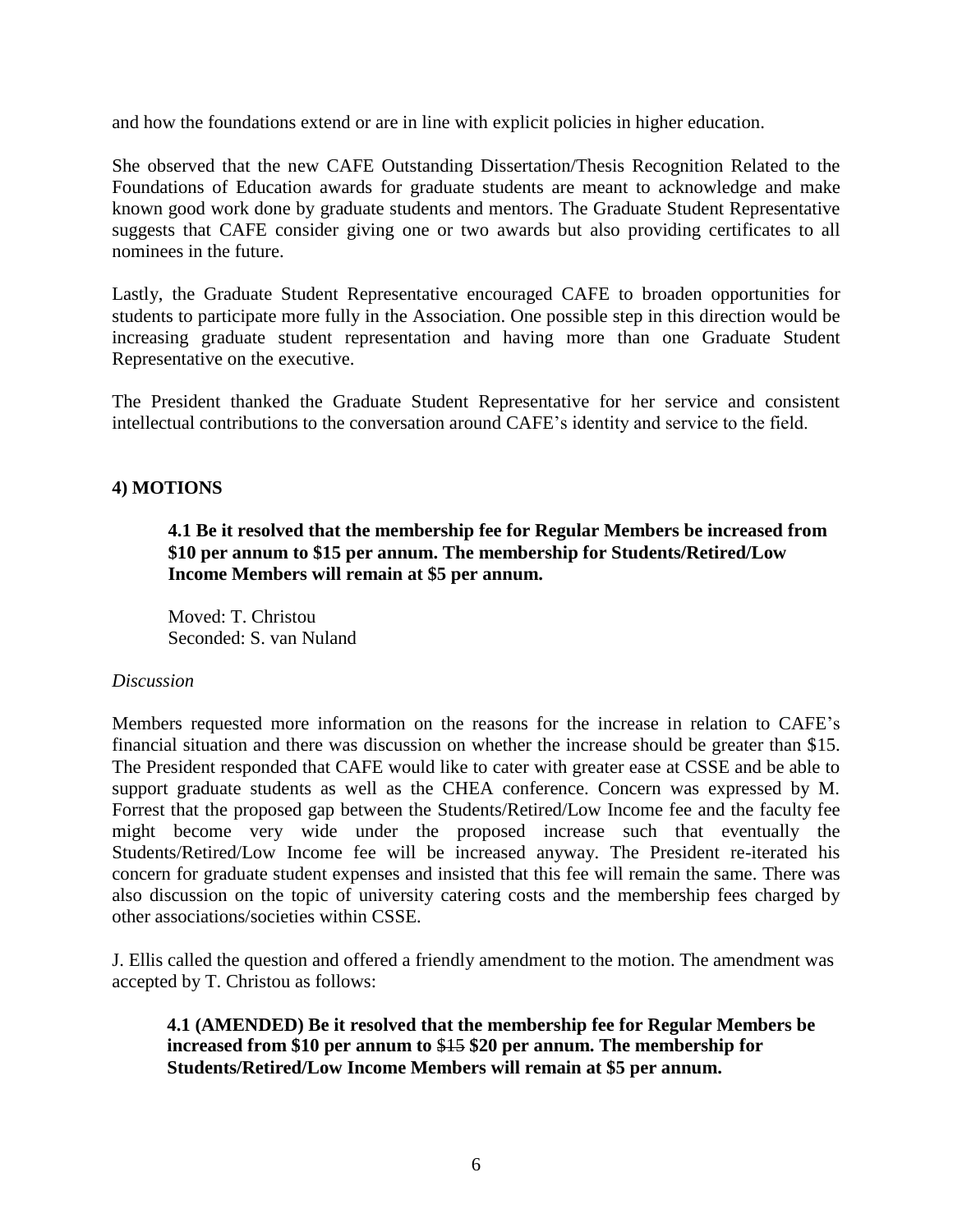and how the foundations extend or are in line with explicit policies in higher education.

She observed that the new CAFE Outstanding Dissertation/Thesis Recognition Related to the Foundations of Education awards for graduate students are meant to acknowledge and make known good work done by graduate students and mentors. The Graduate Student Representative suggests that CAFE consider giving one or two awards but also providing certificates to all nominees in the future.

Lastly, the Graduate Student Representative encouraged CAFE to broaden opportunities for students to participate more fully in the Association. One possible step in this direction would be increasing graduate student representation and having more than one Graduate Student Representative on the executive.

The President thanked the Graduate Student Representative for her service and consistent intellectual contributions to the conversation around CAFE's identity and service to the field.

## **4) MOTIONS**

**4.1 Be it resolved that the membership fee for Regular Members be increased from \$10 per annum to \$15 per annum. The membership for Students/Retired/Low Income Members will remain at \$5 per annum.**

Moved: T. Christou Seconded: S. van Nuland

## *Discussion*

Members requested more information on the reasons for the increase in relation to CAFE's financial situation and there was discussion on whether the increase should be greater than \$15. The President responded that CAFE would like to cater with greater ease at CSSE and be able to support graduate students as well as the CHEA conference. Concern was expressed by M. Forrest that the proposed gap between the Students/Retired/Low Income fee and the faculty fee might become very wide under the proposed increase such that eventually the Students/Retired/Low Income fee will be increased anyway. The President re-iterated his concern for graduate student expenses and insisted that this fee will remain the same. There was also discussion on the topic of university catering costs and the membership fees charged by other associations/societies within CSSE.

J. Ellis called the question and offered a friendly amendment to the motion. The amendment was accepted by T. Christou as follows:

**4.1 (AMENDED) Be it resolved that the membership fee for Regular Members be increased from \$10 per annum to** \$15 **\$20 per annum. The membership for Students/Retired/Low Income Members will remain at \$5 per annum.**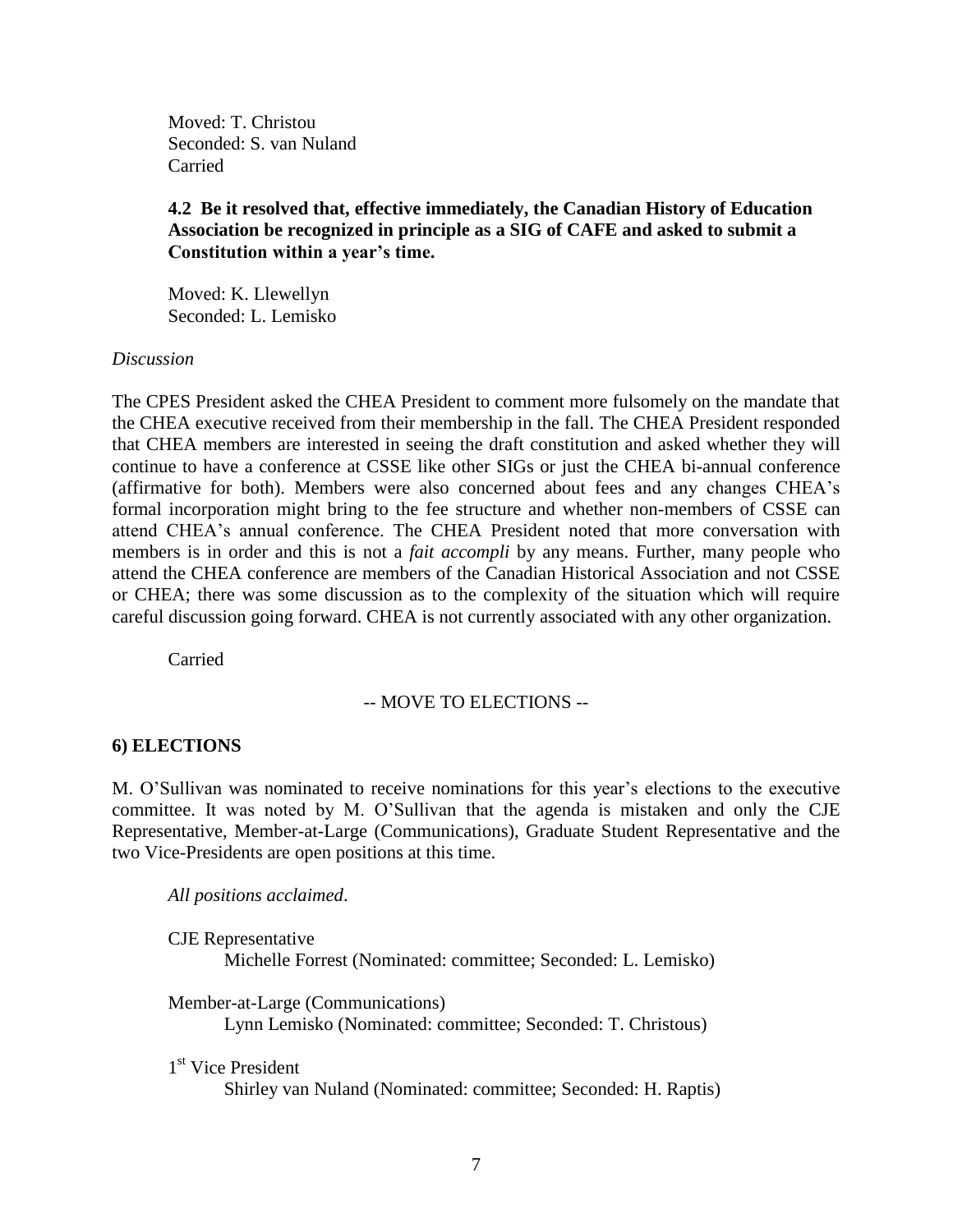Moved: T. Christou Seconded: S. van Nuland Carried

## **4.2 Be it resolved that, effective immediately, the Canadian History of Education Association be recognized in principle as a SIG of CAFE and asked to submit a Constitution within a year's time.**

Moved: K. Llewellyn Seconded: L. Lemisko

## *Discussion*

The CPES President asked the CHEA President to comment more fulsomely on the mandate that the CHEA executive received from their membership in the fall. The CHEA President responded that CHEA members are interested in seeing the draft constitution and asked whether they will continue to have a conference at CSSE like other SIGs or just the CHEA bi-annual conference (affirmative for both). Members were also concerned about fees and any changes CHEA's formal incorporation might bring to the fee structure and whether non-members of CSSE can attend CHEA's annual conference. The CHEA President noted that more conversation with members is in order and this is not a *fait accompli* by any means. Further, many people who attend the CHEA conference are members of the Canadian Historical Association and not CSSE or CHEA; there was some discussion as to the complexity of the situation which will require careful discussion going forward. CHEA is not currently associated with any other organization.

Carried

## -- MOVE TO ELECTIONS --

## **6) ELECTIONS**

M. O'Sullivan was nominated to receive nominations for this year's elections to the executive committee. It was noted by M. O'Sullivan that the agenda is mistaken and only the CJE Representative, Member-at-Large (Communications), Graduate Student Representative and the two Vice-Presidents are open positions at this time.

*All positions acclaimed*.

| <b>CJE</b> Representative |                                                               |
|---------------------------|---------------------------------------------------------------|
|                           | Michelle Forrest (Nominated: committee; Seconded: L. Lemisko) |
|                           |                                                               |
|                           | Member-at-Large (Communications)                              |
|                           | Lynn Lemisko (Nominated: committee; Seconded: T. Christous)   |

1<sup>st</sup> Vice President

Shirley van Nuland (Nominated: committee; Seconded: H. Raptis)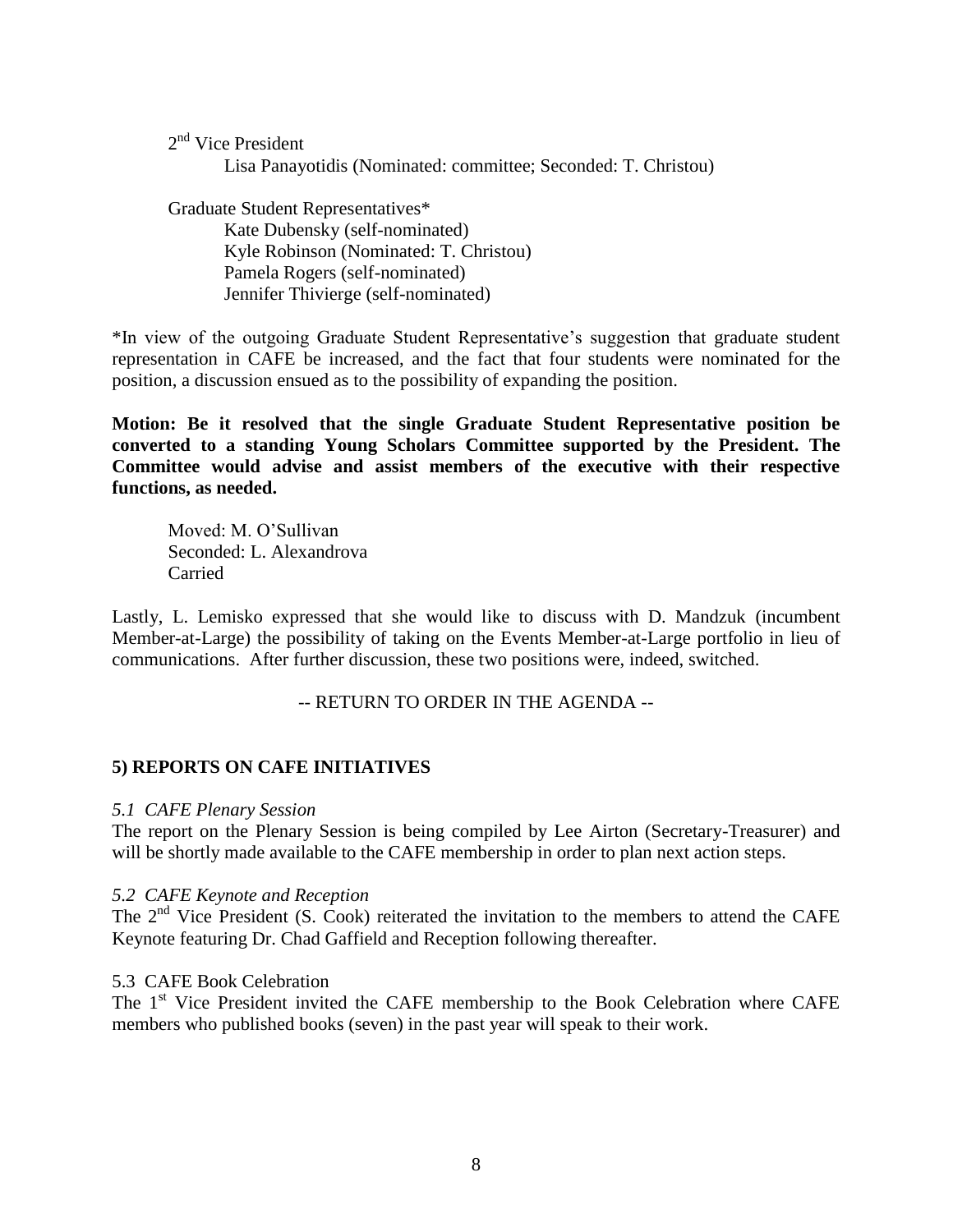2<sup>nd</sup> Vice President

Lisa Panayotidis (Nominated: committee; Seconded: T. Christou)

Graduate Student Representatives\* Kate Dubensky (self-nominated) Kyle Robinson (Nominated: T. Christou) Pamela Rogers (self-nominated) Jennifer Thivierge (self-nominated)

\*In view of the outgoing Graduate Student Representative's suggestion that graduate student representation in CAFE be increased, and the fact that four students were nominated for the position, a discussion ensued as to the possibility of expanding the position.

**Motion: Be it resolved that the single Graduate Student Representative position be converted to a standing Young Scholars Committee supported by the President. The Committee would advise and assist members of the executive with their respective functions, as needed.**

Moved: M. O'Sullivan Seconded: L. Alexandrova Carried

Lastly, L. Lemisko expressed that she would like to discuss with D. Mandzuk (incumbent Member-at-Large) the possibility of taking on the Events Member-at-Large portfolio in lieu of communications. After further discussion, these two positions were, indeed, switched.

-- RETURN TO ORDER IN THE AGENDA --

# **5) REPORTS ON CAFE INITIATIVES**

## *5.1 CAFE Plenary Session*

The report on the Plenary Session is being compiled by Lee Airton (Secretary-Treasurer) and will be shortly made available to the CAFE membership in order to plan next action steps.

#### *5.2 CAFE Keynote and Reception*

The  $2<sup>nd</sup>$  Vice President (S. Cook) reiterated the invitation to the members to attend the CAFE Keynote featuring Dr. Chad Gaffield and Reception following thereafter.

#### 5.3 CAFE Book Celebration

The 1<sup>st</sup> Vice President invited the CAFE membership to the Book Celebration where CAFE members who published books (seven) in the past year will speak to their work.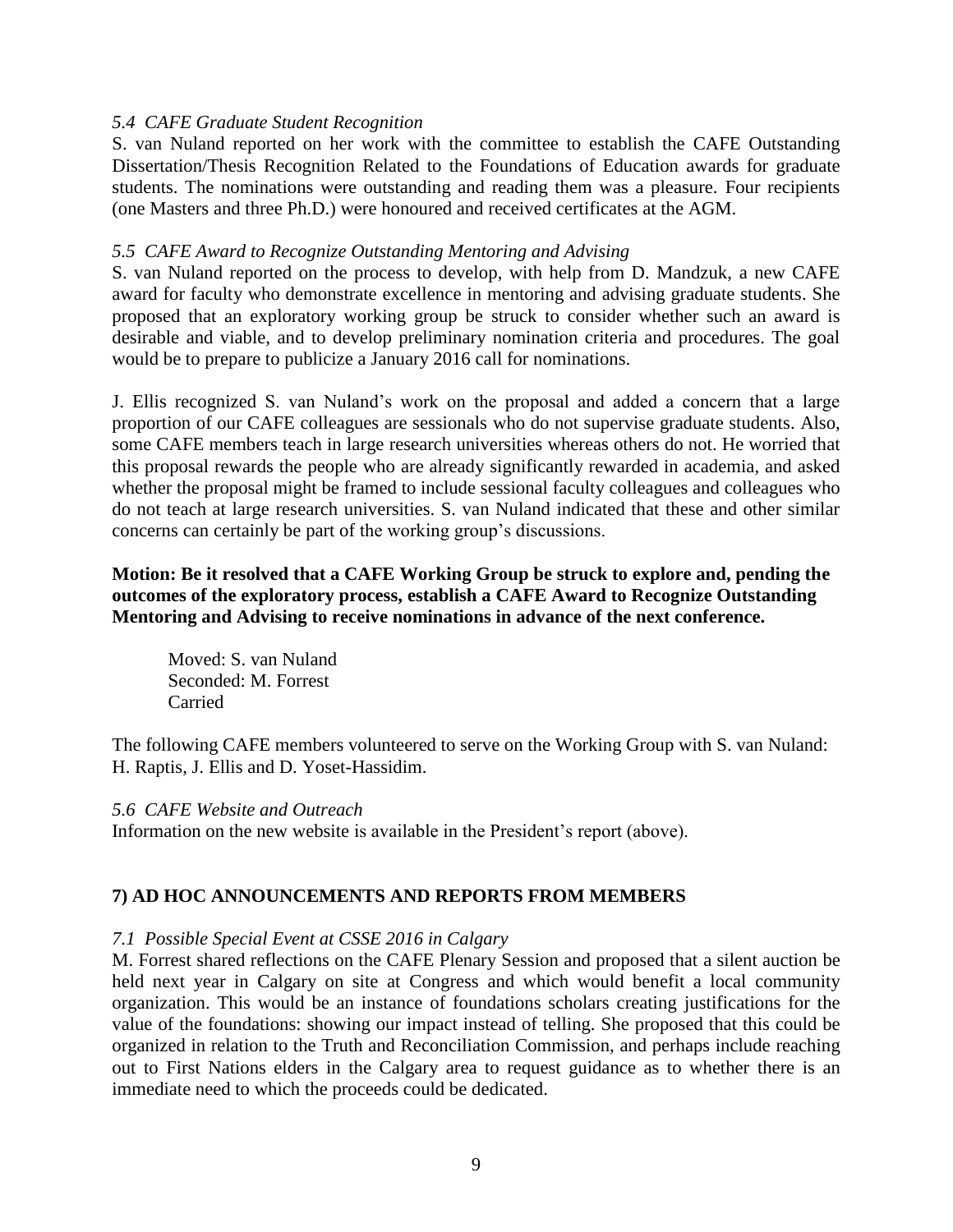## *5.4 CAFE Graduate Student Recognition*

S. van Nuland reported on her work with the committee to establish the CAFE Outstanding Dissertation/Thesis Recognition Related to the Foundations of Education awards for graduate students. The nominations were outstanding and reading them was a pleasure. Four recipients (one Masters and three Ph.D.) were honoured and received certificates at the AGM.

### *5.5 CAFE Award to Recognize Outstanding Mentoring and Advising*

S. van Nuland reported on the process to develop, with help from D. Mandzuk, a new CAFE award for faculty who demonstrate excellence in mentoring and advising graduate students. She proposed that an exploratory working group be struck to consider whether such an award is desirable and viable, and to develop preliminary nomination criteria and procedures. The goal would be to prepare to publicize a January 2016 call for nominations.

J. Ellis recognized S. van Nuland's work on the proposal and added a concern that a large proportion of our CAFE colleagues are sessionals who do not supervise graduate students. Also, some CAFE members teach in large research universities whereas others do not. He worried that this proposal rewards the people who are already significantly rewarded in academia, and asked whether the proposal might be framed to include sessional faculty colleagues and colleagues who do not teach at large research universities. S. van Nuland indicated that these and other similar concerns can certainly be part of the working group's discussions.

## **Motion: Be it resolved that a CAFE Working Group be struck to explore and, pending the outcomes of the exploratory process, establish a CAFE Award to Recognize Outstanding Mentoring and Advising to receive nominations in advance of the next conference.**

Moved: S. van Nuland Seconded: M. Forrest Carried

The following CAFE members volunteered to serve on the Working Group with S. van Nuland: H. Raptis, J. Ellis and D. Yoset-Hassidim.

#### *5.6 CAFE Website and Outreach*

Information on the new website is available in the President's report (above).

## **7) AD HOC ANNOUNCEMENTS AND REPORTS FROM MEMBERS**

## *7.1 Possible Special Event at CSSE 2016 in Calgary*

M. Forrest shared reflections on the CAFE Plenary Session and proposed that a silent auction be held next year in Calgary on site at Congress and which would benefit a local community organization. This would be an instance of foundations scholars creating justifications for the value of the foundations: showing our impact instead of telling. She proposed that this could be organized in relation to the Truth and Reconciliation Commission, and perhaps include reaching out to First Nations elders in the Calgary area to request guidance as to whether there is an immediate need to which the proceeds could be dedicated.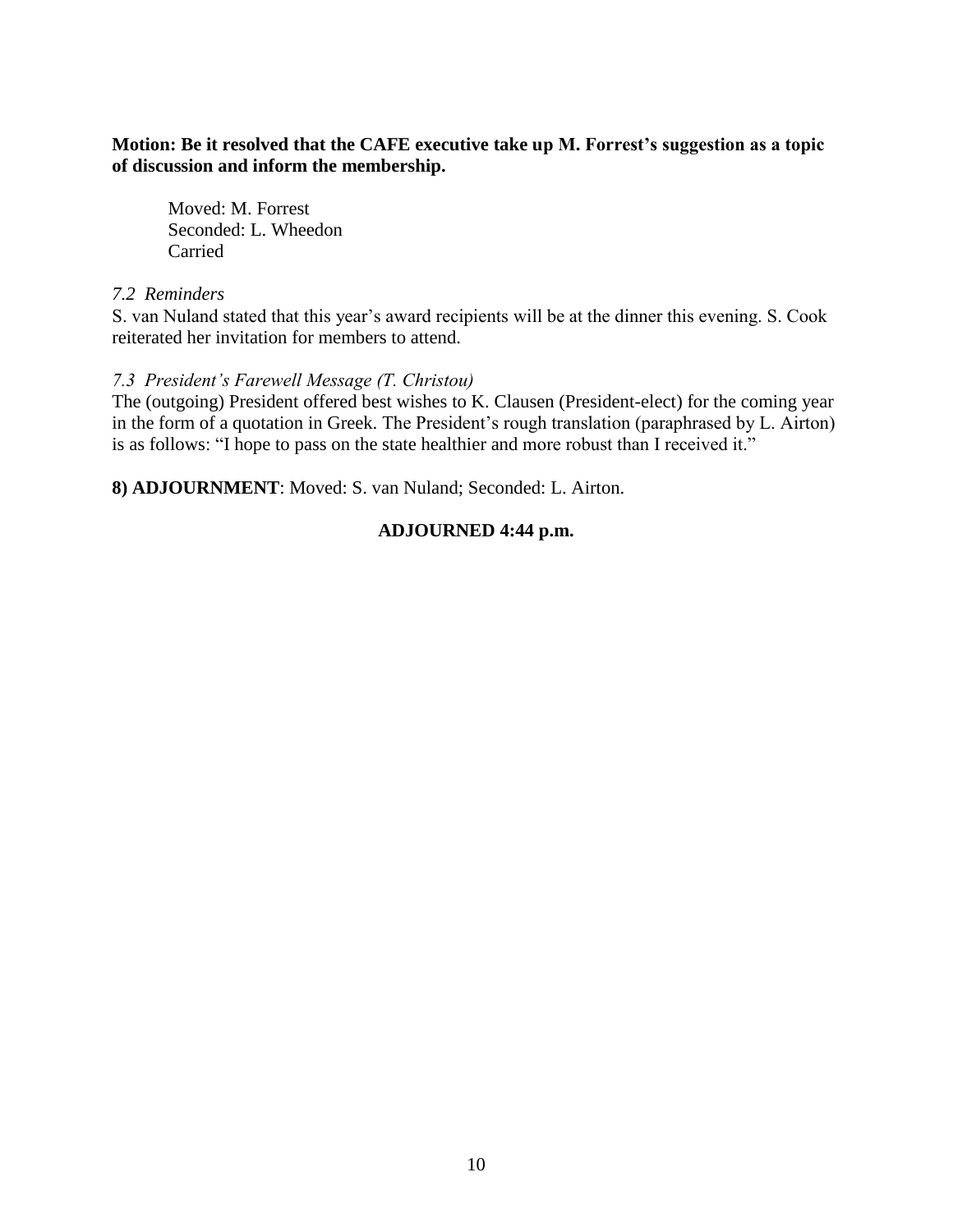## **Motion: Be it resolved that the CAFE executive take up M. Forrest's suggestion as a topic of discussion and inform the membership.**

Moved: M. Forrest Seconded: L. Wheedon Carried

## *7.2 Reminders*

S. van Nuland stated that this year's award recipients will be at the dinner this evening. S. Cook reiterated her invitation for members to attend.

## *7.3 President's Farewell Message (T. Christou)*

The (outgoing) President offered best wishes to K. Clausen (President-elect) for the coming year in the form of a quotation in Greek. The President's rough translation (paraphrased by L. Airton) is as follows: "I hope to pass on the state healthier and more robust than I received it."

**8) ADJOURNMENT**: Moved: S. van Nuland; Seconded: L. Airton.

## **ADJOURNED 4:44 p.m.**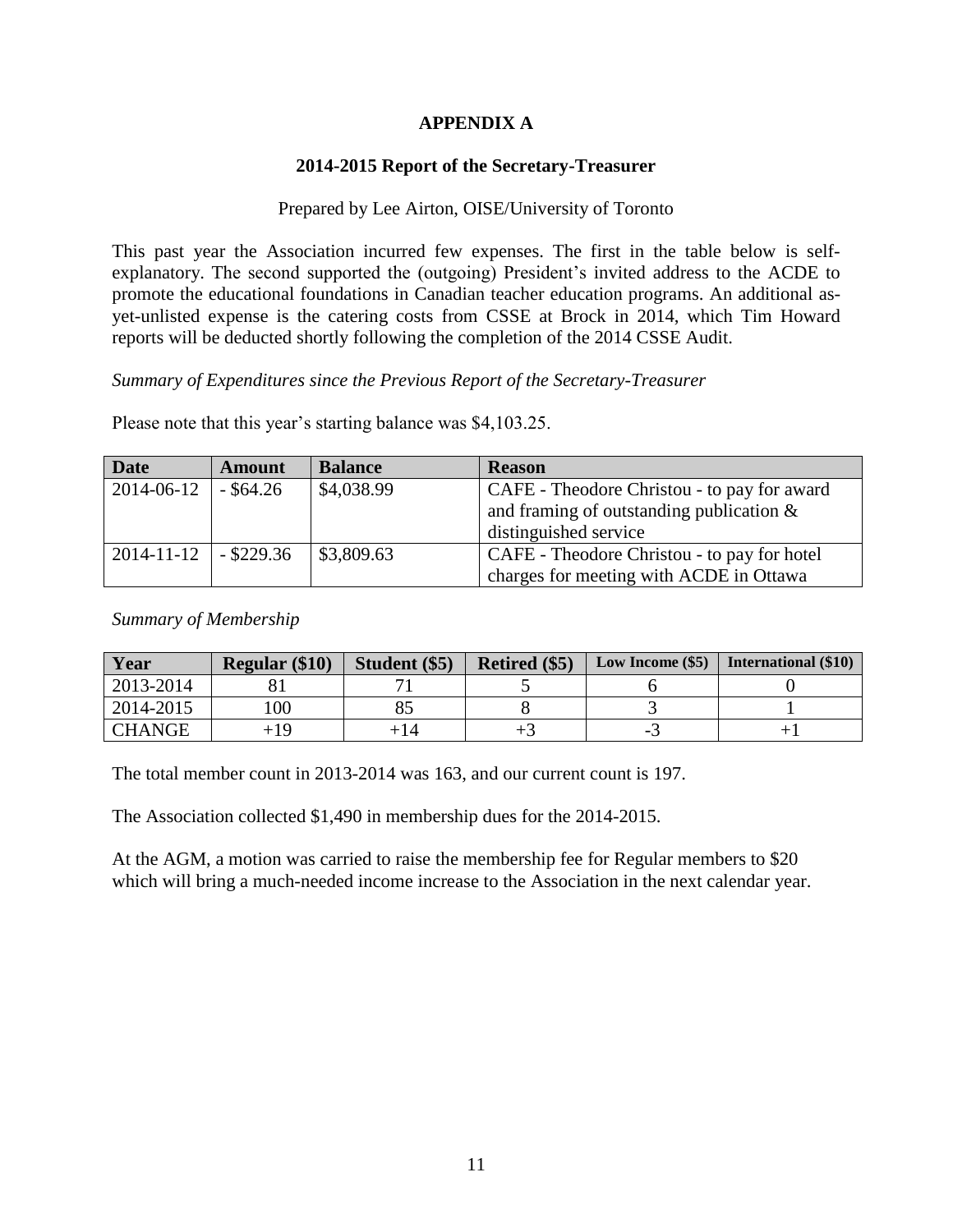# **APPENDIX A**

# **2014-2015 Report of the Secretary-Treasurer**

# Prepared by Lee Airton, OISE/University of Toronto

This past year the Association incurred few expenses. The first in the table below is selfexplanatory. The second supported the (outgoing) President's invited address to the ACDE to promote the educational foundations in Canadian teacher education programs. An additional asyet-unlisted expense is the catering costs from CSSE at Brock in 2014, which Tim Howard reports will be deducted shortly following the completion of the 2014 CSSE Audit.

*Summary of Expenditures since the Previous Report of the Secretary-Treasurer*

Please note that this year's starting balance was \$4,103.25.

| <b>Date</b> | <b>Amount</b>   | <b>Balance</b> | <b>Reason</b>                               |  |
|-------------|-----------------|----------------|---------------------------------------------|--|
| 2014-06-12  | $-$ \$64.26     | \$4,038.99     | CAFE - Theodore Christou - to pay for award |  |
|             |                 |                | and framing of outstanding publication $\&$ |  |
|             |                 |                | distinguished service                       |  |
| 2014-11-12  | $\sim$ \$229.36 | \$3,809.63     | CAFE - Theodore Christou - to pay for hotel |  |
|             |                 |                | charges for meeting with ACDE in Ottawa     |  |

*Summary of Membership*

| Year          | <b>Regular (\$10)</b> | Student (\$5) | Retired (\$5) | Low Income (\$5) | <b>International</b> (\$10) |
|---------------|-----------------------|---------------|---------------|------------------|-----------------------------|
| 2013-2014     |                       |               |               |                  |                             |
| 2014-2015     | 100                   |               |               |                  |                             |
| <b>CHANGE</b> | +19                   | + 14          |               |                  |                             |

The total member count in 2013-2014 was 163, and our current count is 197.

The Association collected \$1,490 in membership dues for the 2014-2015.

At the AGM, a motion was carried to raise the membership fee for Regular members to \$20 which will bring a much-needed income increase to the Association in the next calendar year.